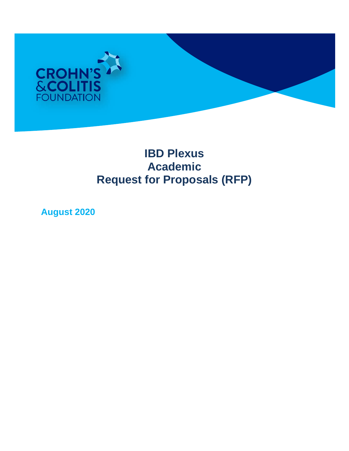

# **IBD Plexus Academic Request for Proposals (RFP)**

**August 2020**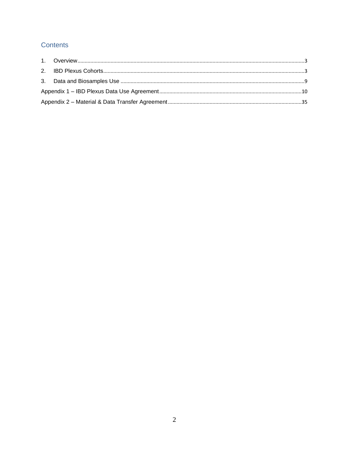## Contents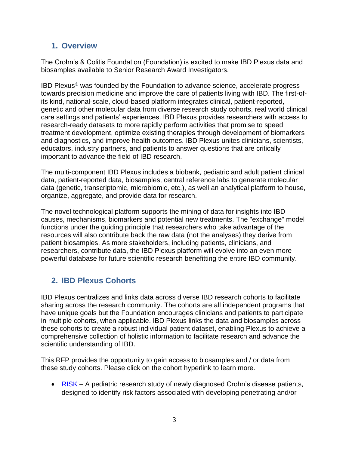## <span id="page-2-0"></span>**1. Overview**

The Crohn's & Colitis Foundation (Foundation) is excited to make IBD Plexus data and biosamples available to Senior Research Award Investigators.

[IBD Plexus](http://www.crohnscolitisfoundation.org/science-and-professionals/research/IBDPlexus/)® was founded by the Foundation to advance science, accelerate progress towards precision medicine and improve the care of patients living with IBD. The first-ofits kind, national-scale, cloud-based platform integrates clinical, patient-reported, genetic and other molecular data from diverse research study cohorts, real world clinical care settings and patients' experiences. IBD Plexus provides researchers with access to research-ready datasets to more rapidly perform activities that promise to speed treatment development, optimize existing therapies through development of biomarkers and diagnostics, and improve health outcomes. IBD Plexus unites clinicians, scientists, educators, industry partners, and patients to answer questions that are critically important to advance the field of IBD research.

The multi-component IBD Plexus includes a biobank, pediatric and adult patient clinical data, patient-reported data, biosamples, central reference labs to generate molecular data (genetic, transcriptomic, microbiomic, etc.), as well an analytical platform to house, organize, aggregate, and provide data for research.

The novel technological platform supports the mining of data for insights into IBD causes, mechanisms, biomarkers and potential new treatments. The "exchange" model functions under the guiding principle that researchers who take advantage of the resources will also contribute back the raw data (not the analyses) they derive from patient biosamples. As more stakeholders, including patients, clinicians, and researchers, contribute data, the IBD Plexus platform will evolve into an even more powerful database for future scientific research benefitting the entire IBD community.

## <span id="page-2-1"></span>**2. IBD Plexus Cohorts**

IBD Plexus centralizes and links data across diverse IBD research cohorts to facilitate sharing across the research community. The cohorts are all independent programs that have unique goals but the Foundation encourages clinicians and patients to participate in multiple cohorts, when applicable. IBD Plexus links the data and biosamples across these cohorts to create a robust individual patient dataset, enabling Plexus to achieve a comprehensive collection of holistic information to facilitate research and advance the scientific understanding of IBD.

This RFP provides the opportunity to gain access to biosamples and / or data from these study cohorts. Please click on the cohort hyperlink to learn more.

• [RISK](https://www.crohnscolitisfoundation.org/research/current-research-initiatives/pediatric-risk-stratification) – A pediatric research study of newly diagnosed Crohn's disease patients, designed to identify risk factors associated with developing penetrating and/or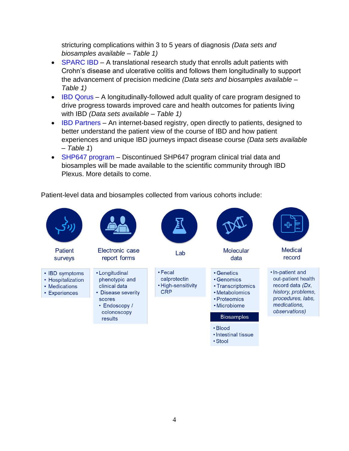stricturing complications within 3 to 5 years of diagnosis *(Data sets and biosamples available – Table 1)*

- [SPARC IBD](https://www.crohnscolitisfoundation.org/research/current-research-initiatives/sparc-ibd) A translational research study that enrolls adult patients with Crohn's disease and ulcerative colitis and follows them longitudinally to support the advancement of precision medicine *(Data sets and biosamples available – Table 1)*
- [IBD Qorus](https://www.crohnscolitisfoundation.org/research/ibd-qorus) A longitudinally-followed adult quality of care program designed to drive progress towards improved care and health outcomes for patients living with IBD *(Data sets available – Table 1)*
- [IBD Partners](http://www.ibdpartners.org/) An internet-based registry, open directly to patients, designed to better understand the patient view of the course of IBD and how patient experiences and unique IBD journeys impact disease course *(Data sets available – Table 1*)
- [SHP647 program](https://www.businesswire.com/news/home/20200528005415/en/European-Commission-Releases-Takeda-Commitment-Divest-Shire%E2%80%99s) Discontinued SHP647 program clinical trial data and biosamples will be made available to the scientific community through IBD Plexus. More details to come.

Patient-level data and biosamples collected from various cohorts include:

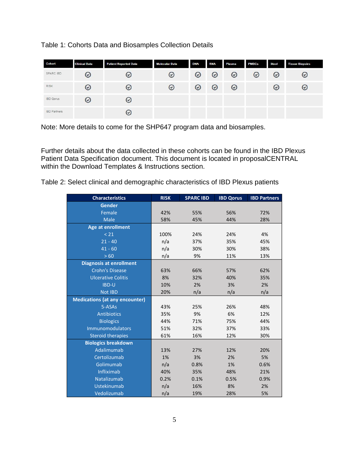## Table 1: Cohorts Data and Biosamples Collection Details

| Cohort              | <b>Clinical Data</b> | <b>Patient Reported Data</b> | <b>Molecular Data</b> | <b>DNA</b> | <b>RNA</b> | Plasma | <b>PMBCs</b> | <b>Stool</b> | <b>Tissue Biopsies</b> |
|---------------------|----------------------|------------------------------|-----------------------|------------|------------|--------|--------------|--------------|------------------------|
| SPARC IBD           | $\bm{\omega}$        | ☉                            | $\bm{\omega}$         | $\odot$    | $\odot$    | ☉      | $\odot$      | $\odot$      | ৩                      |
| <b>RISK</b>         | $\bm{\omega}$        | $_{\odot}$                   | ⊚                     | $_{\odot}$ | $_{\odot}$ | ⊚      |              | $\odot$      | ⊛                      |
| <b>IBD</b> Qorus    | $_{\odot}$           | $_{\odot}$                   |                       |            |            |        |              |              |                        |
| <b>IBD</b> Partners |                      | $_{\odot}$                   |                       |            |            |        |              |              |                        |

Note: More details to come for the SHP647 program data and biosamples.

Further details about the data collected in these cohorts can be found in the IBD Plexus Patient Data Specification document. This document is located in proposalCENTRAL within the Download Templates & Instructions section.

|  | Table 2: Select clinical and demographic characteristics of IBD Plexus patients |  |  |  |  |
|--|---------------------------------------------------------------------------------|--|--|--|--|
|--|---------------------------------------------------------------------------------|--|--|--|--|

| <b>Characteristics</b>                | <b>RISK</b> | <b>SPARC IBD</b> | <b>IBD Qorus</b> | <b>IBD Partners</b> |
|---------------------------------------|-------------|------------------|------------------|---------------------|
| <b>Gender</b>                         |             |                  |                  |                     |
| Female                                | 42%         | 55%              | 56%              | 72%                 |
| <b>Male</b>                           | 58%         | 45%              | 44%              | 28%                 |
| <b>Age at enrollment</b>              |             |                  |                  |                     |
| < 21                                  | 100%        | 24%              | 24%              | 4%                  |
| $21 - 40$                             | n/a         | 37%              | 35%              | 45%                 |
| $41 - 60$                             | n/a         | 30%              | 30%              | 38%                 |
| >60                                   | n/a         | 9%               | 11%              | 13%                 |
| <b>Diagnosis at enrollment</b>        |             |                  |                  |                     |
| <b>Crohn's Disease</b>                | 63%         | 66%              | 57%              | 62%                 |
| <b>Ulcerative Colitis</b>             | 8%          | 32%              | 40%              | 35%                 |
| <b>IBD-U</b>                          | 10%         | 2%               | 3%               | 2%                  |
| <b>Not IBD</b>                        | 20%         | n/a              | n/a              | n/a                 |
| <b>Medications (at any encounter)</b> |             |                  |                  |                     |
| 5-ASAs                                | 43%         | 25%              | 26%              | 48%                 |
| <b>Antibiotics</b>                    | 35%         | 9%               | 6%               | 12%                 |
| <b>Biologics</b>                      | 44%         | 71%              | 75%              | 44%                 |
| Immunomodulators                      | 51%         | 32%              | 37%              | 33%                 |
| <b>Steroid therapies</b>              | 61%         | 16%              | 12%              | 30%                 |
| <b>Biologics breakdown</b>            |             |                  |                  |                     |
| Adalimumab                            | 13%         | 27%              | 12%              | 20%                 |
| Certolizumab                          | 1%          | 3%               | 2%               | 5%                  |
| Golimumab                             | n/a         | 0.8%             | 1%               | 0.6%                |
| Infliximab                            | 40%         | 35%              | 48%              | 21%                 |
| Natalizumab                           | 0.2%        | 0.1%             | 0.5%             | 0.9%                |
| Ustekinumab                           | n/a         | 16%              | 8%               | 2%                  |
| Vedolizumab                           | n/a         | 19%              | 28%              | 5%                  |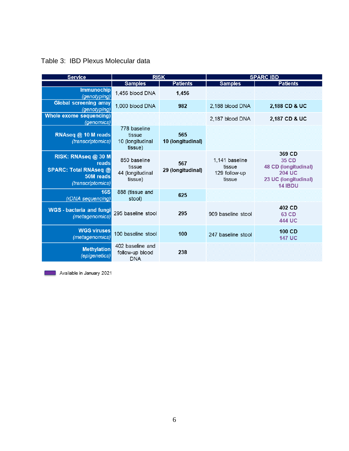| <b>Service</b>                                                                                 | <b>RISK</b>                                           |                          | <b>SPARC IBD</b>                                    |                                                                                                    |  |
|------------------------------------------------------------------------------------------------|-------------------------------------------------------|--------------------------|-----------------------------------------------------|----------------------------------------------------------------------------------------------------|--|
|                                                                                                | <b>Samples</b>                                        | <b>Patients</b>          | <b>Samples</b>                                      | <b>Patients</b>                                                                                    |  |
| <b>Immunochip</b><br>(genotyping)                                                              | 1.456 blood DNA                                       | 1,456                    |                                                     |                                                                                                    |  |
| <b>Global screening array</b><br>(genotyping)                                                  | 1,000 blood DNA                                       | 982                      | 2,188 blood DNA                                     | 2,188 CD & UC                                                                                      |  |
| Whole exome sequencing)<br>(genomics)                                                          |                                                       |                          | 2.187 blood DNA                                     | 2,187 CD & UC                                                                                      |  |
| RNAseq @ 10 M reads<br>(transcriptomics)                                                       | 778 baseline<br>tissue<br>10 (longitudinal<br>tissue) | 565<br>10 (longitudinal) |                                                     |                                                                                                    |  |
| RISK: RNAseq @ 30 M<br>reads<br><b>SPARC: Total RNAseq @</b><br>50M reads<br>(transcriptomics) | 850 baseline<br>tissue<br>44 (longitudinal<br>tissue) | 567<br>29 (longitudinal) | 1.141 baseline<br>tissue<br>129 follow-up<br>tissue | 369 CD<br>35 CD<br>48 CD (longitudinal)<br><b>204 UC</b><br>23 UC (longitudinal)<br><b>14 IBDU</b> |  |
| 16S<br>(rDNA sequencing)                                                                       | 888 (tissue and<br>stool)                             | 625                      |                                                     |                                                                                                    |  |
| <b>WGS</b> - bacteria and fungi<br>(metagenomics)                                              | 295 baseline stool                                    | 295                      | 909 baseline stool                                  | 402 CD<br>63 CD<br>444 UC                                                                          |  |
| <b>WGS viruses</b><br>(metagenomics)                                                           | 100 baseline stool                                    | 100                      | 247 baseline stool                                  | 100 CD<br><b>147 UC</b>                                                                            |  |
| <b>Methylation</b><br>(epigenetics)                                                            | 402 baseline and<br>follow-up blood<br><b>DNA</b>     | 238                      |                                                     |                                                                                                    |  |

## Table 3: IBD Plexus Molecular data

Available in January 2021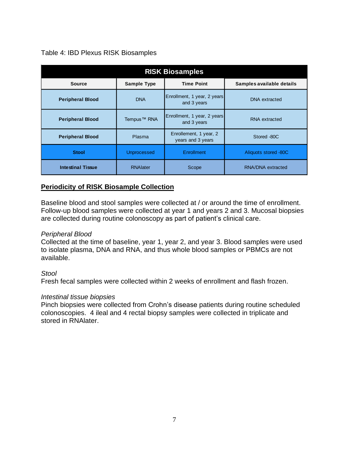## Table 4: IBD Plexus RISK Biosamples

| <b>RISK Biosamples</b>   |                                                                      |                                             |                      |  |  |  |  |
|--------------------------|----------------------------------------------------------------------|---------------------------------------------|----------------------|--|--|--|--|
| <b>Source</b>            | <b>Time Point</b><br>Samples available details<br><b>Sample Type</b> |                                             |                      |  |  |  |  |
| <b>Peripheral Blood</b>  | <b>DNA</b>                                                           | Enrollment, 1 year, 2 years<br>and 3 years  | <b>DNA</b> extracted |  |  |  |  |
| <b>Peripheral Blood</b>  | Tempus <sup>™</sup> RNA                                              | Enrollment, 1 year, 2 years<br>and 3 years  | RNA extracted        |  |  |  |  |
| <b>Peripheral Blood</b>  | Plasma                                                               | Enrollement, 1 year, 2<br>years and 3 years | Stored -80C          |  |  |  |  |
| <b>Stool</b>             | <b>Unprocessed</b>                                                   | Enrollment                                  | Aliquots stored -80C |  |  |  |  |
| <b>Intestinal Tissue</b> | <b>RNAlater</b>                                                      | Scope                                       | RNA/DNA extracted    |  |  |  |  |

## **Periodicity of RISK Biosample Collection**

Baseline blood and stool samples were collected at / or around the time of enrollment. Follow-up blood samples were collected at year 1 and years 2 and 3. Mucosal biopsies are collected during routine colonoscopy as part of patient's clinical care.

## *Peripheral Blood*

Collected at the time of baseline, year 1, year 2, and year 3. Blood samples were used to isolate plasma, DNA and RNA, and thus whole blood samples or PBMCs are not available.

### *Stool*

Fresh fecal samples were collected within 2 weeks of enrollment and flash frozen.

### *Intestinal tissue biopsies*

Pinch biopsies were collected from Crohn's disease patients during routine scheduled colonoscopies. 4 ileal and 4 rectal biopsy samples were collected in triplicate and stored in RNAlater.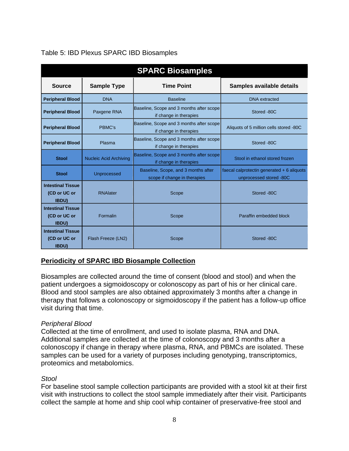| <b>SPARC Biosamples</b>                                  |                               |                                                                     |                                                                        |  |  |  |
|----------------------------------------------------------|-------------------------------|---------------------------------------------------------------------|------------------------------------------------------------------------|--|--|--|
| <b>Source</b>                                            | <b>Sample Type</b>            | <b>Time Point</b>                                                   | Samples available details                                              |  |  |  |
| <b>Peripheral Blood</b>                                  | <b>DNA</b>                    | <b>Baseline</b>                                                     | <b>DNA</b> extracted                                                   |  |  |  |
| <b>Peripheral Blood</b>                                  | Paxgene RNA                   | Baseline, Scope and 3 months after scope<br>if change in therapies  | Stored -80C                                                            |  |  |  |
| <b>Peripheral Blood</b>                                  | PBMC's                        | Baseline, Scope and 3 months after scope<br>if change in therapies  | Aliquots of 5 million cells stored -80C                                |  |  |  |
| <b>Peripheral Blood</b>                                  | Plasma                        | Baseline, Scope and 3 months after scope<br>if change in therapies  | Stored -80C                                                            |  |  |  |
| <b>Stool</b>                                             | <b>Nucleic Acid Archiving</b> | Baseline, Scope and 3 months after scope<br>if change in therapies  | Stool in ethanol stored frozen                                         |  |  |  |
| <b>Stool</b>                                             | <b>Unprocessed</b>            | Baseline, Scope, and 3 months after<br>scope if change in therapies | faecal calprotectin generated $+6$ aliquots<br>unprocessed stored -80C |  |  |  |
| <b>Intestinal Tissue</b><br>(CD or UC or<br><b>IBDU)</b> | <b>RNAlater</b>               | Scope                                                               | Stored -80C                                                            |  |  |  |
| <b>Intestinal Tissue</b><br>(CD or UC or<br><b>IBDU)</b> | Formalin                      | Scope                                                               | Paraffin embedded block                                                |  |  |  |
| <b>Intestinal Tissue</b><br>(CD or UC or<br><b>IBDU)</b> | Flash Freeze (LN2)            | Scope                                                               | Stored -80C                                                            |  |  |  |

## Table 5: IBD Plexus SPARC IBD Biosamples

## **Periodicity of SPARC IBD Biosample Collection**

Biosamples are collected around the time of consent (blood and stool) and when the patient undergoes a sigmoidoscopy or colonoscopy as part of his or her clinical care. Blood and stool samples are also obtained approximately 3 months after a change in therapy that follows a colonoscopy or sigmoidoscopy if the patient has a follow-up office visit during that time.

## *Peripheral Blood*

Collected at the time of enrollment, and used to isolate plasma, RNA and DNA. Additional samples are collected at the time of colonoscopy and 3 months after a colonoscopy if change in therapy where plasma, RNA, and PBMCs are isolated. These samples can be used for a variety of purposes including genotyping, transcriptomics, proteomics and metabolomics.

### *Stool*

For baseline stool sample collection participants are provided with a stool kit at their first visit with instructions to collect the stool sample immediately after their visit. Participants collect the sample at home and ship cool whip container of preservative-free stool and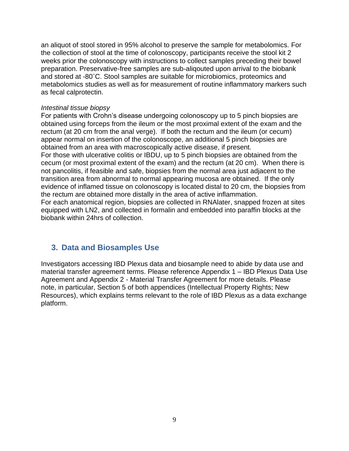an aliquot of stool stored in 95% alcohol to preserve the sample for metabolomics. For the collection of stool at the time of colonoscopy, participants receive the stool kit 2 weeks prior the colonoscopy with instructions to collect samples preceding their bowel preparation. Preservative-free samples are sub-aliqouted upon arrival to the biobank and stored at -80˚C. Stool samples are suitable for microbiomics, proteomics and metabolomics studies as well as for measurement of routine inflammatory markers such as fecal calprotectin.

## *Intestinal tissue biopsy*

For patients with Crohn's disease undergoing colonoscopy up to 5 pinch biopsies are obtained using forceps from the ileum or the most proximal extent of the exam and the rectum (at 20 cm from the anal verge). If both the rectum and the ileum (or cecum) appear normal on insertion of the colonoscope, an additional 5 pinch biopsies are obtained from an area with macroscopically active disease, if present. For those with ulcerative colitis or IBDU, up to 5 pinch biopsies are obtained from the cecum (or most proximal extent of the exam) and the rectum (at 20 cm). When there is not pancolitis, if feasible and safe, biopsies from the normal area just adjacent to the transition area from abnormal to normal appearing mucosa are obtained. If the only evidence of inflamed tissue on colonoscopy is located distal to 20 cm, the biopsies from the rectum are obtained more distally in the area of active inflammation. For each anatomical region, biopsies are collected in RNAlater, snapped frozen at sites equipped with LN2, and collected in formalin and embedded into paraffin blocks at the biobank within 24hrs of collection.

## <span id="page-8-0"></span>**3. Data and Biosamples Use**

Investigators accessing IBD Plexus data and biosample need to abide by data use and material transfer agreement terms. Please reference Appendix 1 – IBD Plexus Data Use Agreement and Appendix 2 - Material Transfer Agreement for more details. Please note, in particular, Section 5 of both appendices (Intellectual Property Rights; New Resources), which explains terms relevant to the role of IBD Plexus as a data exchange platform.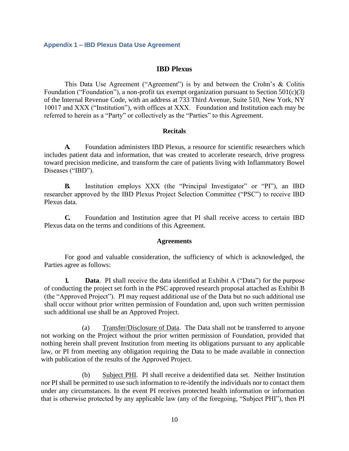#### **IBD Plexus**

<span id="page-9-0"></span>This Data Use Agreement ("Agreement") is by and between the Crohn's & Colitis Foundation ("Foundation"), a non-profit tax exempt organization pursuant to Section  $501(c)(3)$ of the Internal Revenue Code, with an address at 733 Third Avenue, Suite 510, New York, NY 10017 and XXX ("Institution"), with offices at XXX. Foundation and Institution each may be referred to herein as a "Party" or collectively as the "Parties" to this Agreement.

#### **Recitals**

**A.** Foundation administers IBD Plexus, a resource for scientific researchers which includes patient data and information, that was created to accelerate research, drive progress toward precision medicine, and transform the care of patients living with Inflammatory Bowel Diseases ("IBD").

**B.** Institution employs XXX (the "Principal Investigator" or "PI"), an IBD researcher approved by the IBD Plexus Project Selection Committee ("PSC") to receive IBD Plexus data.

**C.** Foundation and Institution agree that PI shall receive access to certain IBD Plexus data on the terms and conditions of this Agreement.

#### **Agreements**

For good and valuable consideration, the sufficiency of which is acknowledged, the Parties agree as follows:

**1. Data**. PI shall receive the data identified at Exhibit A ("Data") for the purpose of conducting the project set forth in the PSC approved research proposal attached as Exhibit B (the "Approved Project"). PI may request additional use of the Data but no such additional use shall occur without prior written permission of Foundation and, upon such written permission such additional use shall be an Approved Project.

(a) Transfer/Disclosure of Data. The Data shall not be transferred to anyone not working on the Project without the prior written permission of Foundation, provided that nothing herein shall prevent Institution from meeting its obligations pursuant to any applicable law, or PI from meeting any obligation requiring the Data to be made available in connection with publication of the results of the Approved Project.

(b) Subject PHI. PI shall receive a deidentified data set. Neither Institution nor PI shall be permitted to use such information to re-identify the individuals nor to contact them under any circumstances. In the event PI receives protected health information or information that is otherwise protected by any applicable law (any of the foregoing, "Subject PHI"), then PI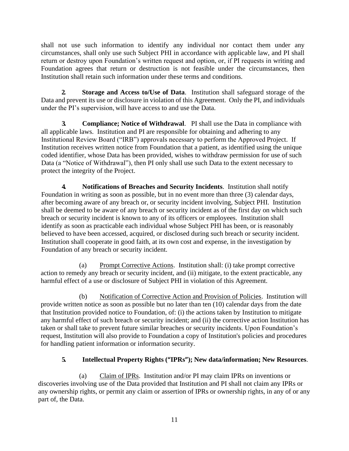shall not use such information to identify any individual nor contact them under any circumstances, shall only use such Subject PHI in accordance with applicable law, and PI shall return or destroy upon Foundation's written request and option, or, if PI requests in writing and Foundation agrees that return or destruction is not feasible under the circumstances, then Institution shall retain such information under these terms and conditions.

**2. Storage and Access to/Use of Data**. Institution shall safeguard storage of the Data and prevent its use or disclosure in violation of this Agreement. Only the PI, and individuals under the PI's supervision, will have access to and use the Data.

**3. Compliance; Notice of Withdrawal**. PI shall use the Data in compliance with all applicable laws. Institution and PI are responsible for obtaining and adhering to any Institutional Review Board ("IRB") approvals necessary to perform the Approved Project. If Institution receives written notice from Foundation that a patient, as identified using the unique coded identifier, whose Data has been provided, wishes to withdraw permission for use of such Data (a "Notice of Withdrawal"), then PI only shall use such Data to the extent necessary to protect the integrity of the Project.

**4. Notifications of Breaches and Security Incidents**. Institution shall notify Foundation in writing as soon as possible, but in no event more than three (3) calendar days, after becoming aware of any breach or, or security incident involving, Subject PHI. Institution shall be deemed to be aware of any breach or security incident as of the first day on which such breach or security incident is known to any of its officers or employees. Institution shall identify as soon as practicable each individual whose Subject PHI has been, or is reasonably believed to have been accessed, acquired, or disclosed during such breach or security incident. Institution shall cooperate in good faith, at its own cost and expense, in the investigation by Foundation of any breach or security incident.

(a) Prompt Corrective Actions. Institution shall: (i) take prompt corrective action to remedy any breach or security incident, and (ii) mitigate, to the extent practicable, any harmful effect of a use or disclosure of Subject PHI in violation of this Agreement.

(b) Notification of Corrective Action and Provision of Policies. Institution will provide written notice as soon as possible but no later than ten (10) calendar days from the date that Institution provided notice to Foundation, of: (i) the actions taken by Institution to mitigate any harmful effect of such breach or security incident; and (ii) the corrective action Institution has taken or shall take to prevent future similar breaches or security incidents. Upon Foundation's request, Institution will also provide to Foundation a copy of Institution's policies and procedures for handling patient information or information security.

## **5. Intellectual Property Rights ("IPRs"); New data/information; New Resources**.

(a) Claim of IPRs. Institution and/or PI may claim IPRs on inventions or discoveries involving use of the Data provided that Institution and PI shall not claim any IPRs or any ownership rights, or permit any claim or assertion of IPRs or ownership rights, in any of or any part of, the Data.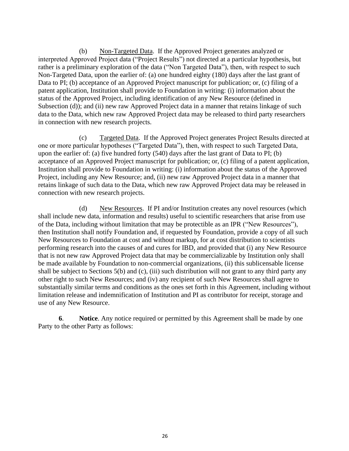(b) Non-Targeted Data. If the Approved Project generates analyzed or interpreted Approved Project data ("Project Results") not directed at a particular hypothesis, but rather is a preliminary exploration of the data ("Non Targeted Data"), then, with respect to such Non-Targeted Data, upon the earlier of: (a) one hundred eighty (180) days after the last grant of Data to PI; (b) acceptance of an Approved Project manuscript for publication; or, (c) filing of a patent application, Institution shall provide to Foundation in writing: (i) information about the status of the Approved Project, including identification of any New Resource (defined in Subsection (d)); and (ii) new raw Approved Project data in a manner that retains linkage of such data to the Data, which new raw Approved Project data may be released to third party researchers in connection with new research projects.

(c) Targeted Data. If the Approved Project generates Project Results directed at one or more particular hypotheses ("Targeted Data"), then, with respect to such Targeted Data, upon the earlier of: (a) five hundred forty (540) days after the last grant of Data to PI; (b) acceptance of an Approved Project manuscript for publication; or, (c) filing of a patent application, Institution shall provide to Foundation in writing: (i) information about the status of the Approved Project, including any New Resource; and, (ii) new raw Approved Project data in a manner that retains linkage of such data to the Data, which new raw Approved Project data may be released in connection with new research projects.

(d) New Resources. If PI and/or Institution creates any novel resources (which shall include new data, information and results) useful to scientific researchers that arise from use of the Data, including without limitation that may be protectible as an IPR ("New Resources"), then Institution shall notify Foundation and, if requested by Foundation, provide a copy of all such New Resources to Foundation at cost and without markup, for at cost distribution to scientists performing research into the causes of and cures for IBD, and provided that (i) any New Resource that is not new raw Approved Project data that may be commercializable by Institution only shall be made available by Foundation to non-commercial organizations, (ii) this sublicensable license shall be subject to Sections 5(b) and (c), (iii) such distribution will not grant to any third party any other right to such New Resources; and (iv) any recipient of such New Resources shall agree to substantially similar terms and conditions as the ones set forth in this Agreement, including without limitation release and indemnification of Institution and PI as contributor for receipt, storage and use of any New Resource.

**6**. **Notice**. Any notice required or permitted by this Agreement shall be made by one Party to the other Party as follows: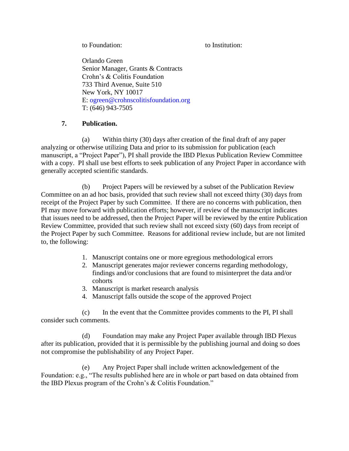to Foundation: to Institution:

Orlando Green Senior Manager, Grants & Contracts Crohn's & Colitis Foundation 733 Third Avenue, Suite 510 New York, NY 10017 E: [ogreen@crohnscolitisfoundation.org](mailto:ogreen@crohnscolitisfoundation.org) T: (646) 943-7505

## **7. Publication.**

(a) Within thirty (30) days after creation of the final draft of any paper analyzing or otherwise utilizing Data and prior to its submission for publication (each manuscript, a "Project Paper"), PI shall provide the IBD Plexus Publication Review Committee with a copy. PI shall use best efforts to seek publication of any Project Paper in accordance with generally accepted scientific standards.

(b) Project Papers will be reviewed by a subset of the Publication Review Committee on an ad hoc basis, provided that such review shall not exceed thirty (30) days from receipt of the Project Paper by such Committee. If there are no concerns with publication, then PI may move forward with publication efforts; however, if review of the manuscript indicates that issues need to be addressed, then the Project Paper will be reviewed by the entire Publication Review Committee, provided that such review shall not exceed sixty (60) days from receipt of the Project Paper by such Committee. Reasons for additional review include, but are not limited to, the following:

- 1. Manuscript contains one or more egregious methodological errors
- 2. Manuscript generates major reviewer concerns regarding methodology, findings and/or conclusions that are found to misinterpret the data and/or cohorts
- 3. Manuscript is market research analysis
- 4. Manuscript falls outside the scope of the approved Project

(c) In the event that the Committee provides comments to the PI, PI shall consider such comments.

(d) Foundation may make any Project Paper available through IBD Plexus after its publication, provided that it is permissible by the publishing journal and doing so does not compromise the publishability of any Project Paper.

(e) Any Project Paper shall include written acknowledgement of the Foundation: e.g., "The results published here are in whole or part based on data obtained from the IBD Plexus program of the Crohn's & Colitis Foundation."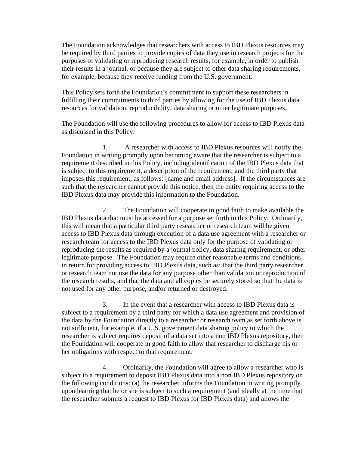The Foundation acknowledges that researchers with access to IBD Plexus resources may be required by third parties to provide copies of data they use in research projects for the purposes of validating or reproducing research results, for example, in order to publish their results in a journal, or because they are subject to other data sharing requirements, for example, because they receive funding from the U.S. government.

This Policy sets forth the Foundation's commitment to support these researchers in fulfilling their commitments to third parties by allowing for the use of IBD Plexus data resources for validation, reproducibility, data sharing or other legitimate purposes.

The Foundation will use the following procedures to allow for access to IBD Plexus data as discussed in this Policy:

1. A researcher with access to IBD Plexus resources will notify the Foundation in writing promptly upon becoming aware that the researcher is subject to a requirement described in this Policy, including identification of the IBD Plexus data that is subject to this requirement, a description of the requirement, and the third party that imposes this requirement, as follows: [name and email address]. If the circumstances are such that the researcher cannot provide this notice, then the entity requiring access to the IBD Plexus data may provide this information to the Foundation.

2. The Foundation will cooperate in good faith to make available the IBD Plexus data that must be accessed for a purpose set forth in this Policy. Ordinarily, this will mean that a particular third party researcher or research team will be given access to IBD Plexus data through execution of a data use agreement with a researcher or research team for access to the IBD Plexus data only for the purpose of validating or reproducing the results as required by a journal policy, data sharing requirement, or other legitimate purpose. The Foundation may require other reasonable terms and conditions in return for providing access to IBD Plexus data, such as: that the third party researcher or research team not use the data for any purpose other than validation or reproduction of the research results, and that the data and all copies be securely stored so that the data is not used for any other purpose, and/or returned or destroyed.

3. In the event that a researcher with access to IBD Plexus data is subject to a requirement by a third party for which a data use agreement and provision of the data by the Foundation directly to a researcher or research team as set forth above is not sufficient, for example, if a U.S. government data sharing policy to which the researcher is subject requires deposit of a data set into a non IBD Plexus repository, then the Foundation will cooperate in good faith to allow that researcher to discharge his or her obligations with respect to that requirement.

4. Ordinarily, the Foundation will agree to allow a researcher who is subject to a requirement to deposit IBD Plexus data into a non IBD Plexus repository on the following conditions: (a) the researcher informs the Foundation in writing promptly upon learning that he or she is subject to such a requirement (and ideally at the time that the researcher submits a request to IBD Plexus for IBD Plexus data) and allows the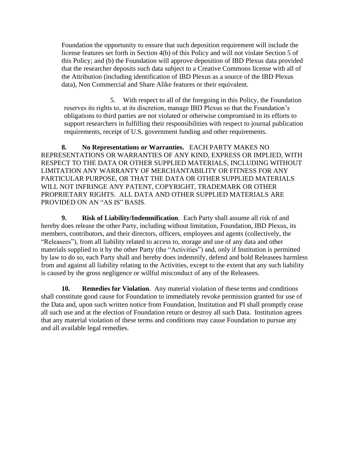Foundation the opportunity to ensure that such deposition requirement will include the license features set forth in Section 4(b) of this Policy and will not violate Section 5 of this Policy; and (b) the Foundation will approve deposition of IBD Plexus data provided that the researcher deposits such data subject to a Creative Commons license with all of the Attribution (including identification of IBD Plexus as a source of the IBD Plexus data), Non Commercial and Share Alike features or their equivalent.

5. With respect to all of the foregoing in this Policy, the Foundation reserves its rights to, at its discretion, manage IBD Plexus so that the Foundation's obligations to third parties are not violated or otherwise compromised in its efforts to support researchers in fulfilling their responsibilities with respect to journal publication requirements, receipt of U.S. government funding and other requirements.

**8. No Representations or Warranties.** EACH PARTY MAKES NO REPRESENTATIONS OR WARRANTIES OF ANY KIND, EXPRESS OR IMPLIED, WITH RESPECT TO THE DATA OR OTHER SUPPLIED MATERIALS, INCLUDING WITHOUT LIMITATION ANY WARRANTY OF MERCHANTABILITY OR FITNESS FOR ANY PARTICULAR PURPOSE, OR THAT THE DATA OR OTHER SUPPLIED MATERIALS WILL NOT INFRINGE ANY PATENT, COPYRIGHT, TRADEMARK OR OTHER PROPRIETARY RIGHTS. ALL DATA AND OTHER SUPPLIED MATERIALS ARE PROVIDED ON AN "AS IS" BASIS.

**9. Risk of Liability/Indemnification**. Each Party shall assume all risk of and hereby does release the other Party, including without limitation, Foundation, IBD Plexus, its members, contributors, and their directors, officers, employees and agents (collectively, the "Releasees"), from all liability related to access to, storage and use of any data and other materials supplied to it by the other Party (the "Activities") and, only if Institution is permitted by law to do so, each Party shall and hereby does indemnify, defend and hold Releasees harmless from and against all liability relating to the Activities, except to the extent that any such liability is caused by the gross negligence or willful misconduct of any of the Releasees.

**10. Remedies for Violation**. Any material violation of these terms and conditions shall constitute good cause for Foundation to immediately revoke permission granted for use of the Data and, upon such written notice from Foundation, Institution and PI shall promptly cease all such use and at the election of Foundation return or destroy all such Data. Institution agrees that any material violation of these terms and conditions may cause Foundation to pursue any and all available legal remedies.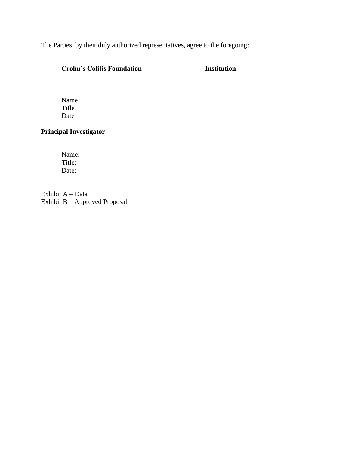The Parties, by their duly authorized representatives, agree to the foregoing:

\_\_\_\_\_\_\_\_\_\_\_\_\_\_\_\_\_\_\_\_\_\_\_\_ \_\_\_\_\_\_\_\_\_\_\_\_\_\_\_\_\_\_\_\_\_\_\_\_

## **Crohn's Colitis Foundation Institution**

Name Title Date

## **Principal Investigator**

 $\overline{a}$ 

Name: Title: Date:

Exhibit A – Data Exhibit B – Approved Proposal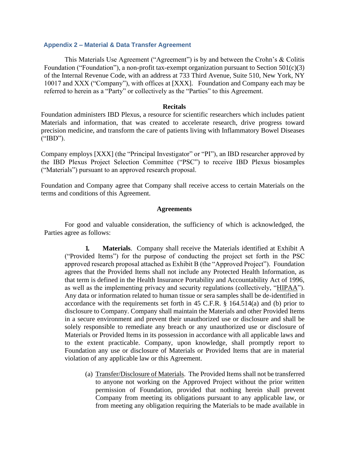#### <span id="page-16-0"></span>**Appendix 2 – Material & Data Transfer Agreement**

This Materials Use Agreement ("Agreement") is by and between the Crohn's & Colitis Foundation ("Foundation"), a non-profit tax-exempt organization pursuant to Section  $501(c)(3)$ of the Internal Revenue Code, with an address at 733 Third Avenue, Suite 510, New York, NY 10017 and XXX ("Company"), with offices at [XXX]. Foundation and Company each may be referred to herein as a "Party" or collectively as the "Parties" to this Agreement.

#### **Recitals**

Foundation administers IBD Plexus, a resource for scientific researchers which includes patient Materials and information, that was created to accelerate research, drive progress toward precision medicine, and transform the care of patients living with Inflammatory Bowel Diseases ("IBD").

Company employs [XXX] (the "Principal Investigator" or "PI"), an IBD researcher approved by the IBD Plexus Project Selection Committee ("PSC") to receive IBD Plexus biosamples ("Materials") pursuant to an approved research proposal.

Foundation and Company agree that Company shall receive access to certain Materials on the terms and conditions of this Agreement.

#### **Agreements**

For good and valuable consideration, the sufficiency of which is acknowledged, the Parties agree as follows:

**1. Materials**. Company shall receive the Materials identified at Exhibit A ("Provided Items") for the purpose of conducting the project set forth in the PSC approved research proposal attached as Exhibit B (the "Approved Project"). Foundation agrees that the Provided Items shall not include any Protected Health Information, as that term is defined in the Health Insurance Portability and Accountability Act of 1996, as well as the implementing privacy and security regulations (collectively, "HIPAA"). Any data or information related to human tissue or sera samples shall be de-identified in accordance with the requirements set forth in 45 C.F.R. § 164.514(a) and (b) prior to disclosure to Company. Company shall maintain the Materials and other Provided Items in a secure environment and prevent their unauthorized use or disclosure and shall be solely responsible to remediate any breach or any unauthorized use or disclosure of Materials or Provided Items in its possession in accordance with all applicable laws and to the extent practicable. Company, upon knowledge, shall promptly report to Foundation any use or disclosure of Materials or Provided Items that are in material violation of any applicable law or this Agreement.

(a) Transfer/Disclosure of Materials. The Provided Items shall not be transferred to anyone not working on the Approved Project without the prior written permission of Foundation, provided that nothing herein shall prevent Company from meeting its obligations pursuant to any applicable law, or from meeting any obligation requiring the Materials to be made available in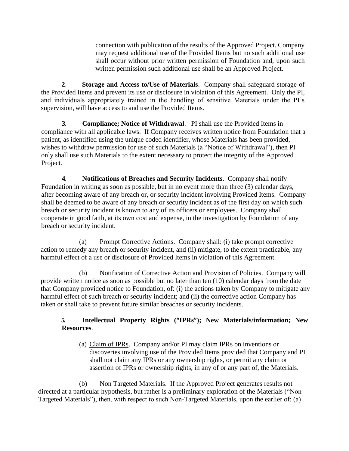connection with publication of the results of the Approved Project. Company may request additional use of the Provided Items but no such additional use shall occur without prior written permission of Foundation and, upon such written permission such additional use shall be an Approved Project.

**2. Storage and Access to/Use of Materials**. Company shall safeguard storage of the Provided Items and prevent its use or disclosure in violation of this Agreement. Only the PI, and individuals appropriately trained in the handling of sensitive Materials under the PI's supervision, will have access to and use the Provided Items.

**3. Compliance; Notice of Withdrawal**. PI shall use the Provided Items in compliance with all applicable laws. If Company receives written notice from Foundation that a patient, as identified using the unique coded identifier, whose Materials has been provided, wishes to withdraw permission for use of such Materials (a "Notice of Withdrawal"), then PI only shall use such Materials to the extent necessary to protect the integrity of the Approved Project.

**4. Notifications of Breaches and Security Incidents**. Company shall notify Foundation in writing as soon as possible, but in no event more than three (3) calendar days, after becoming aware of any breach or, or security incident involving Provided Items. Company shall be deemed to be aware of any breach or security incident as of the first day on which such breach or security incident is known to any of its officers or employees. Company shall cooperate in good faith, at its own cost and expense, in the investigation by Foundation of any breach or security incident.

(a) Prompt Corrective Actions. Company shall: (i) take prompt corrective action to remedy any breach or security incident, and (ii) mitigate, to the extent practicable, any harmful effect of a use or disclosure of Provided Items in violation of this Agreement.

(b) Notification of Corrective Action and Provision of Policies. Company will provide written notice as soon as possible but no later than ten (10) calendar days from the date that Company provided notice to Foundation, of: (i) the actions taken by Company to mitigate any harmful effect of such breach or security incident; and (ii) the corrective action Company has taken or shall take to prevent future similar breaches or security incidents.

## **5. Intellectual Property Rights ("IPRs"); New Materials/information; New Resources**.

(a) Claim of IPRs. Company and/or PI may claim IPRs on inventions or discoveries involving use of the Provided Items provided that Company and PI shall not claim any IPRs or any ownership rights, or permit any claim or assertion of IPRs or ownership rights, in any of or any part of, the Materials.

(b) Non Targeted Materials. If the Approved Project generates results not directed at a particular hypothesis, but rather is a preliminary exploration of the Materials ("Non Targeted Materials"), then, with respect to such Non-Targeted Materials, upon the earlier of: (a)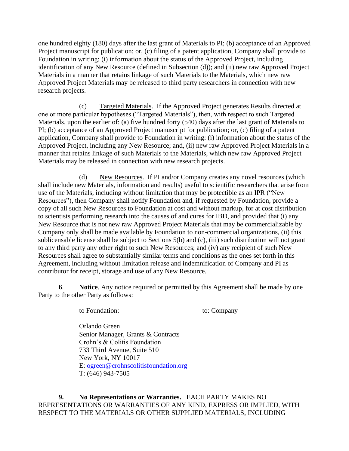one hundred eighty (180) days after the last grant of Materials to PI; (b) acceptance of an Approved Project manuscript for publication; or, (c) filing of a patent application, Company shall provide to Foundation in writing: (i) information about the status of the Approved Project, including identification of any New Resource (defined in Subsection (d)); and (ii) new raw Approved Project Materials in a manner that retains linkage of such Materials to the Materials, which new raw Approved Project Materials may be released to third party researchers in connection with new research projects.

(c) Targeted Materials. If the Approved Project generates Results directed at one or more particular hypotheses ("Targeted Materials"), then, with respect to such Targeted Materials, upon the earlier of: (a) five hundred forty (540) days after the last grant of Materials to PI; (b) acceptance of an Approved Project manuscript for publication; or, (c) filing of a patent application, Company shall provide to Foundation in writing: (i) information about the status of the Approved Project, including any New Resource; and, (ii) new raw Approved Project Materials in a manner that retains linkage of such Materials to the Materials, which new raw Approved Project Materials may be released in connection with new research projects.

(d) New Resources. If PI and/or Company creates any novel resources (which shall include new Materials, information and results) useful to scientific researchers that arise from use of the Materials, including without limitation that may be protectible as an IPR ("New Resources"), then Company shall notify Foundation and, if requested by Foundation, provide a copy of all such New Resources to Foundation at cost and without markup, for at cost distribution to scientists performing research into the causes of and cures for IBD, and provided that (i) any New Resource that is not new raw Approved Project Materials that may be commercializable by Company only shall be made available by Foundation to non-commercial organizations, (ii) this sublicensable license shall be subject to Sections 5(b) and (c), (iii) such distribution will not grant to any third party any other right to such New Resources; and (iv) any recipient of such New Resources shall agree to substantially similar terms and conditions as the ones set forth in this Agreement, including without limitation release and indemnification of Company and PI as contributor for receipt, storage and use of any New Resource.

**6**. **Notice**. Any notice required or permitted by this Agreement shall be made by one Party to the other Party as follows:

to Foundation: to: Company

Orlando Green Senior Manager, Grants & Contracts Crohn's & Colitis Foundation 733 Third Avenue, Suite 510 New York, NY 10017 E: [ogreen@crohnscolitisfoundation.org](mailto:ogreen@crohnscolitisfoundation.org) T: (646) 943-7505

**9. No Representations or Warranties.** EACH PARTY MAKES NO REPRESENTATIONS OR WARRANTIES OF ANY KIND, EXPRESS OR IMPLIED, WITH RESPECT TO THE MATERIALS OR OTHER SUPPLIED MATERIALS, INCLUDING